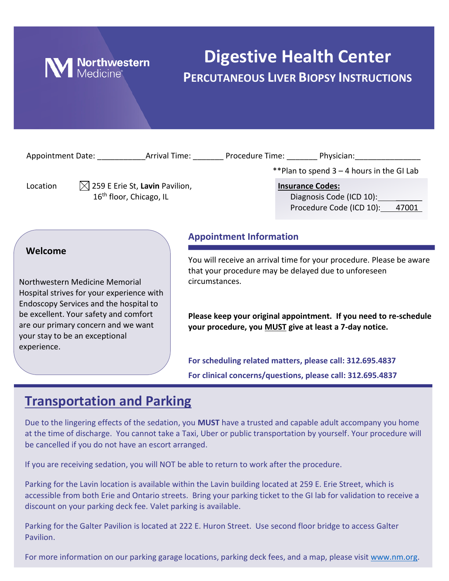

# **Digestive Health Center PERCUTANEOUS LIVER BIOPSY INSTRUCTIONS**

| Appointment Date: Arrival Time: Procedure Time: Physician:                      |                                                                                   |                                                                                                                              |                                                                                                                |  |
|---------------------------------------------------------------------------------|-----------------------------------------------------------------------------------|------------------------------------------------------------------------------------------------------------------------------|----------------------------------------------------------------------------------------------------------------|--|
|                                                                                 |                                                                                   |                                                                                                                              | **Plan to spend 3 – 4 hours in the GI Lab                                                                      |  |
| Location                                                                        | $\boxtimes$ 259 E Erie St, Lavin Pavilion,<br>16 <sup>th</sup> floor, Chicago, IL |                                                                                                                              | <b>Insurance Codes:</b><br>Diagnosis Code (ICD 10): Diagnosis Code (ICD 10):<br>Procedure Code (ICD 10): 47001 |  |
|                                                                                 |                                                                                   | <b>Appointment Information</b>                                                                                               |                                                                                                                |  |
| Welcome                                                                         |                                                                                   | You will receive an arrival time for your procedure. Please be aware<br>that your procedure may be delayed due to unforeseen |                                                                                                                |  |
| Northwestern Medicine Memorial<br>Hospital strives for your experience with     | circumstances.                                                                    |                                                                                                                              |                                                                                                                |  |
| Endoscopy Services and the hospital to<br>be excellent. Your safety and comfort |                                                                                   |                                                                                                                              | Please keep your original appointment. If you need to re-schedule                                              |  |

**For scheduling related matters, please call: 312.695.4837 For clinical concerns/questions, please call: 312.695.4837**

**your procedure, you MUST give at least a 7-day notice.**

### **Transportation and Parking**

are our primary concern and we want

your stay to be an exceptional

experience.

Due to the lingering effects of the sedation, you **MUST** have a trusted and capable adult accompany you home at the time of discharge. You cannot take a Taxi, Uber or public transportation by yourself. Your procedure will be cancelled if you do not have an escort arranged.

If you are receiving sedation, you will NOT be able to return to work after the procedure.

Parking for the Lavin location is available within the Lavin building located at 259 E. Erie Street, which is accessible from both Erie and Ontario streets. Bring your parking ticket to the GI lab for validation to receive a discount on your parking deck fee. Valet parking is available.

Parking for the Galter Pavilion is located at 222 E. Huron Street. Use second floor bridge to access Galter Pavilion.

For more information on our parking garage locations, parking deck fees, and a map, please visit [www.nm.org.](http://www.nm.org/)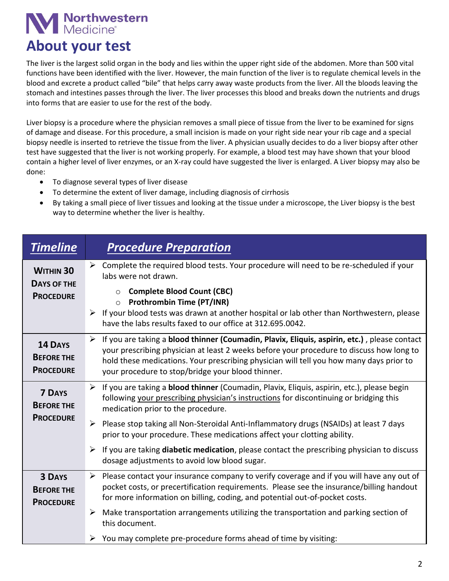# **N** Northwestern

# **About your test**

The liver is the largest solid organ in the body and lies within the upper right side of the abdomen. More than 500 vital functions have been identified with the liver. However, the main function of the liver is to regulate chemical levels in the blood and excrete a product called "bile" that helps carry away waste products from the liver. All the bloods leaving the stomach and intestines passes through the liver. The liver processes this blood and breaks down the nutrients and drugs into forms that are easier to use for the rest of the body.

Liver biopsy is a procedure where the physician removes a small piece of tissue from the liver to be examined for signs of damage and disease. For this procedure, a small incision is made on your right side near your rib cage and a special biopsy needle is inserted to retrieve the tissue from the liver. A physician usually decides to do a liver biopsy after other test have suggested that the liver is not working properly. For example, a blood test may have shown that your blood contain a higher level of liver enzymes, or an X-ray could have suggested the liver is enlarged. A Liver biopsy may also be done:

- To diagnose several types of liver disease
- To determine the extent of liver damage, including diagnosis of cirrhosis
- By taking a small piece of liver tissues and looking at the tissue under a microscope, the Liver biopsy is the best way to determine whether the liver is healthy.

| <b>Timeline</b>                                            | <b>Procedure Preparation</b>                                                                                                                                                                                                                                                                                                                                                                                                                                                                                                         |
|------------------------------------------------------------|--------------------------------------------------------------------------------------------------------------------------------------------------------------------------------------------------------------------------------------------------------------------------------------------------------------------------------------------------------------------------------------------------------------------------------------------------------------------------------------------------------------------------------------|
| <b>WITHIN 30</b><br><b>DAYS OF THE</b><br><b>PROCEDURE</b> | $\triangleright$ Complete the required blood tests. Your procedure will need to be re-scheduled if your<br>labs were not drawn.<br><b>Complete Blood Count (CBC)</b><br>$\circ$<br><b>Prothrombin Time (PT/INR)</b><br>$\circ$<br>If your blood tests was drawn at another hospital or lab other than Northwestern, please<br>➤<br>have the labs results faxed to our office at 312.695.0042.                                                                                                                                        |
| <b>14 DAYS</b><br><b>BEFORE THE</b><br><b>PROCEDURE</b>    | $\blacktriangleright$<br>If you are taking a blood thinner (Coumadin, Plavix, Eliquis, aspirin, etc.), please contact<br>your prescribing physician at least 2 weeks before your procedure to discuss how long to<br>hold these medications. Your prescribing physician will tell you how many days prior to<br>your procedure to stop/bridge your blood thinner.                                                                                                                                                                    |
| <b>7 DAYS</b><br><b>BEFORE THE</b><br><b>PROCEDURE</b>     | > If you are taking a <b>blood thinner</b> (Coumadin, Plavix, Eliquis, aspirin, etc.), please begin<br>following your prescribing physician's instructions for discontinuing or bridging this<br>medication prior to the procedure.<br>Please stop taking all Non-Steroidal Anti-Inflammatory drugs (NSAIDs) at least 7 days<br>➤<br>prior to your procedure. These medications affect your clotting ability.<br>$\triangleright$ If you are taking <b>diabetic medication</b> , please contact the prescribing physician to discuss |
|                                                            | dosage adjustments to avoid low blood sugar.                                                                                                                                                                                                                                                                                                                                                                                                                                                                                         |
| <b>3 DAYS</b><br><b>BEFORE THE</b><br><b>PROCEDURE</b>     | $\triangleright$ Please contact your insurance company to verify coverage and if you will have any out of<br>pocket costs, or precertification requirements. Please see the insurance/billing handout<br>for more information on billing, coding, and potential out-of-pocket costs.                                                                                                                                                                                                                                                 |
|                                                            | Make transportation arrangements utilizing the transportation and parking section of<br>➤<br>this document.                                                                                                                                                                                                                                                                                                                                                                                                                          |
|                                                            | You may complete pre-procedure forms ahead of time by visiting:                                                                                                                                                                                                                                                                                                                                                                                                                                                                      |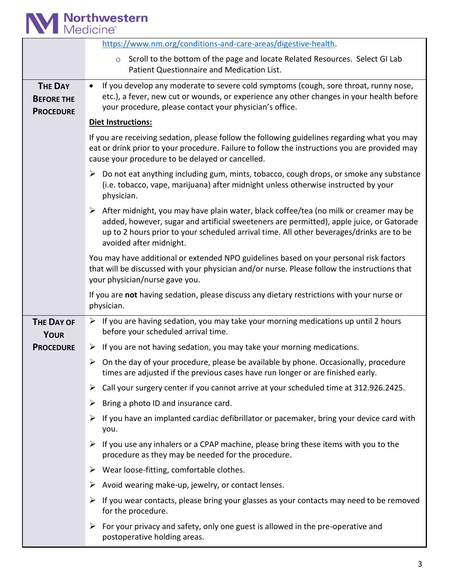

|                                                         | https://www.nm.org/conditions-and-care-areas/digestive-health.                                                                                                                                                                                                                                                            |
|---------------------------------------------------------|---------------------------------------------------------------------------------------------------------------------------------------------------------------------------------------------------------------------------------------------------------------------------------------------------------------------------|
|                                                         | ○ Scroll to the bottom of the page and locate Related Resources. Select GI Lab<br>Patient Questionnaire and Medication List.                                                                                                                                                                                              |
| <b>THE DAY</b><br><b>BEFORE THE</b><br><b>PROCEDURE</b> | If you develop any moderate to severe cold symptoms (cough, sore throat, runny nose,<br>$\bullet$<br>etc.), a fever, new cut or wounds, or experience any other changes in your health before<br>your procedure, please contact your physician's office.                                                                  |
|                                                         | Diet Instructions:                                                                                                                                                                                                                                                                                                        |
|                                                         | If you are receiving sedation, please follow the following guidelines regarding what you may<br>eat or drink prior to your procedure. Failure to follow the instructions you are provided may<br>cause your procedure to be delayed or cancelled.                                                                         |
|                                                         | Do not eat anything including gum, mints, tobacco, cough drops, or smoke any substance<br>➤<br>(i.e. tobacco, vape, marijuana) after midnight unless otherwise instructed by your<br>physician.                                                                                                                           |
|                                                         | $\triangleright$ After midnight, you may have plain water, black coffee/tea (no milk or creamer may be<br>added, however, sugar and artificial sweeteners are permitted), apple juice, or Gatorade<br>up to 2 hours prior to your scheduled arrival time. All other beverages/drinks are to be<br>avoided after midnight. |
|                                                         | You may have additional or extended NPO guidelines based on your personal risk factors<br>that will be discussed with your physician and/or nurse. Please follow the instructions that<br>your physician/nurse gave you.                                                                                                  |
|                                                         | If you are not having sedation, please discuss any dietary restrictions with your nurse or<br>physician.                                                                                                                                                                                                                  |
| <b>THE DAY OF</b><br><b>YOUR</b>                        | $\triangleright$ If you are having sedation, you may take your morning medications up until 2 hours<br>before your scheduled arrival time.                                                                                                                                                                                |
| <b>PROCEDURE</b>                                        | $\triangleright$ If you are not having sedation, you may take your morning medications.                                                                                                                                                                                                                                   |
|                                                         | $\triangleright$ On the day of your procedure, please be available by phone. Occasionally, procedure<br>times are adjusted if the previous cases have run longer or are finished early.                                                                                                                                   |
|                                                         | Call your surgery center if you cannot arrive at your scheduled time at 312.926.2425.<br>➤                                                                                                                                                                                                                                |
|                                                         | Bring a photo ID and insurance card.<br>➤                                                                                                                                                                                                                                                                                 |
|                                                         | If you have an implanted cardiac defibrillator or pacemaker, bring your device card with<br>➤<br>you.                                                                                                                                                                                                                     |
|                                                         | If you use any inhalers or a CPAP machine, please bring these items with you to the<br>➤<br>procedure as they may be needed for the procedure.                                                                                                                                                                            |
|                                                         | Wear loose-fitting, comfortable clothes.<br>➤                                                                                                                                                                                                                                                                             |
|                                                         | Avoid wearing make-up, jewelry, or contact lenses.<br>➤                                                                                                                                                                                                                                                                   |
|                                                         | If you wear contacts, please bring your glasses as your contacts may need to be removed<br>➤<br>for the procedure.                                                                                                                                                                                                        |
|                                                         | For your privacy and safety, only one guest is allowed in the pre-operative and<br>➤<br>postoperative holding areas.                                                                                                                                                                                                      |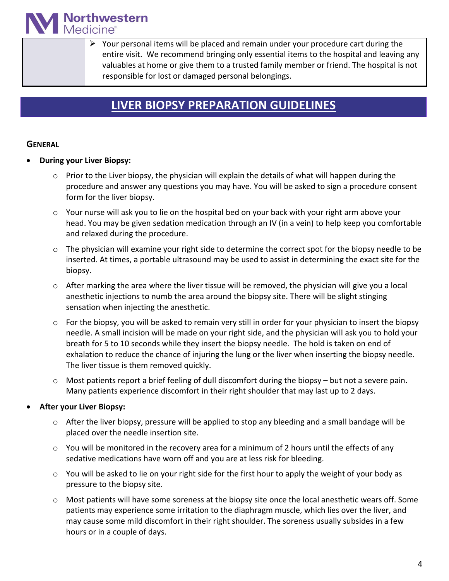**Northwestern**<br>Medicine®

 $\triangleright$  Your personal items will be placed and remain under your procedure cart during the entire visit. We recommend bringing only essential items to the hospital and leaving any valuables at home or give them to a trusted family member or friend. The hospital is not responsible for lost or damaged personal belongings.

### **LIVER BIOPSY PREPARATION GUIDELINES**

### **GENERAL**

- **During your Liver Biopsy:**
	- $\circ$  Prior to the Liver biopsy, the physician will explain the details of what will happen during the procedure and answer any questions you may have. You will be asked to sign a procedure consent form for the liver biopsy.
	- $\circ$  Your nurse will ask you to lie on the hospital bed on your back with your right arm above your head. You may be given sedation medication through an IV (in a vein) to help keep you comfortable and relaxed during the procedure.
	- $\circ$  The physician will examine your right side to determine the correct spot for the biopsy needle to be inserted. At times, a portable ultrasound may be used to assist in determining the exact site for the biopsy.
	- $\circ$  After marking the area where the liver tissue will be removed, the physician will give you a local anesthetic injections to numb the area around the biopsy site. There will be slight stinging sensation when injecting the anesthetic.
	- o For the biopsy, you will be asked to remain very still in order for your physician to insert the biopsy needle. A small incision will be made on your right side, and the physician will ask you to hold your breath for 5 to 10 seconds while they insert the biopsy needle. The hold is taken on end of exhalation to reduce the chance of injuring the lung or the liver when inserting the biopsy needle. The liver tissue is them removed quickly.
	- $\circ$  Most patients report a brief feeling of dull discomfort during the biopsy but not a severe pain. Many patients experience discomfort in their right shoulder that may last up to 2 days.

### • **After your Liver Biopsy:**

- $\circ$  After the liver biopsy, pressure will be applied to stop any bleeding and a small bandage will be placed over the needle insertion site.
- o You will be monitored in the recovery area for a minimum of 2 hours until the effects of any sedative medications have worn off and you are at less risk for bleeding.
- o You will be asked to lie on your right side for the first hour to apply the weight of your body as pressure to the biopsy site.
- $\circ$  Most patients will have some soreness at the biopsy site once the local anesthetic wears off. Some patients may experience some irritation to the diaphragm muscle, which lies over the liver, and may cause some mild discomfort in their right shoulder. The soreness usually subsides in a few hours or in a couple of days.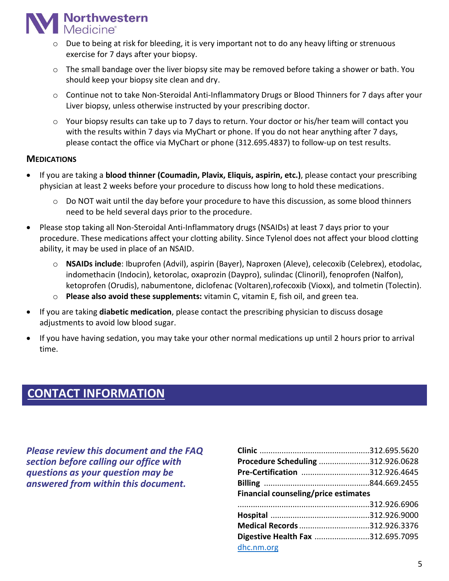

- o Due to being at risk for bleeding, it is very important not to do any heavy lifting or strenuous exercise for 7 days after your biopsy.
- $\circ$  The small bandage over the liver biopsy site may be removed before taking a shower or bath. You should keep your biopsy site clean and dry.
- o Continue not to take Non-Steroidal Anti-Inflammatory Drugs or Blood Thinners for 7 days after your Liver biopsy, unless otherwise instructed by your prescribing doctor.
- o Your biopsy results can take up to 7 days to return. Your doctor or his/her team will contact you with the results within 7 days via MyChart or phone. If you do not hear anything after 7 days, please contact the office via MyChart or phone (312.695.4837) to follow-up on test results.

#### **MEDICATIONS**

- If you are taking a **blood thinner (Coumadin, Plavix, Eliquis, aspirin, etc.)**, please contact your prescribing physician at least 2 weeks before your procedure to discuss how long to hold these medications.
	- o Do NOT wait until the day before your procedure to have this discussion, as some blood thinners need to be held several days prior to the procedure.
- Please stop taking all Non-Steroidal Anti-Inflammatory drugs (NSAIDs) at least 7 days prior to your procedure. These medications affect your clotting ability. Since Tylenol does not affect your blood clotting ability, it may be used in place of an NSAID.
	- o **NSAIDs include**: Ibuprofen (Advil), aspirin (Bayer), Naproxen (Aleve), celecoxib (Celebrex), etodolac, indomethacin (Indocin), ketorolac, oxaprozin (Daypro), sulindac (Clinoril), fenoprofen (Nalfon), ketoprofen (Orudis), nabumentone, diclofenac (Voltaren),rofecoxib (Vioxx), and tolmetin (Tolectin).
	- o **Please also avoid these supplements:** vitamin C, vitamin E, fish oil, and green tea.
- If you are taking **diabetic medication**, please contact the prescribing physician to discuss dosage adjustments to avoid low blood sugar.
- If you have having sedation, you may take your other normal medications up until 2 hours prior to arrival time.

### **CONTACT INFORMATION**

*Please review this document and the FAQ section before calling our office with questions as your question may be answered from within this document.*

| Procedure Scheduling 312.926.0628    |  |
|--------------------------------------|--|
| Pre-Certification 312.926.4645       |  |
|                                      |  |
| Financial counseling/price estimates |  |
|                                      |  |
|                                      |  |
|                                      |  |
| Medical Records 312.926.3376         |  |
| Digestive Health Fax 312.695.7095    |  |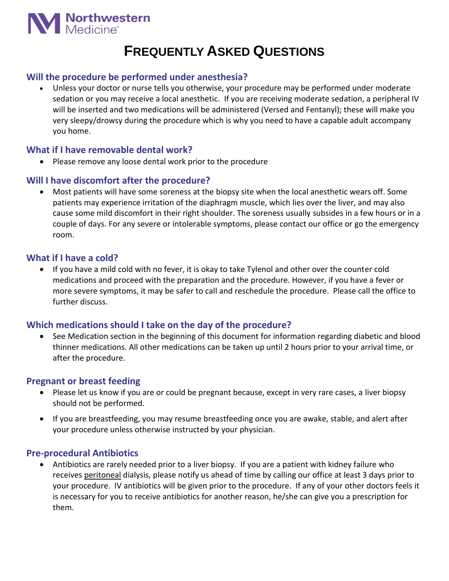

## **FREQUENTLY ASKED QUESTIONS**

### **Will the procedure be performed under anesthesia?**

• Unless your doctor or nurse tells you otherwise, your procedure may be performed under moderate sedation or you may receive a local anesthetic. If you are receiving moderate sedation, a peripheral IV will be inserted and two medications will be administered (Versed and Fentanyl); these will make you very sleepy/drowsy during the procedure which is why you need to have a capable adult accompany you home.

### **What if I have removable dental work?**

• Please remove any loose dental work prior to the procedure

### **Will I have discomfort after the procedure?**

• Most patients will have some soreness at the biopsy site when the local anesthetic wears off. Some patients may experience irritation of the diaphragm muscle, which lies over the liver, and may also cause some mild discomfort in their right shoulder. The soreness usually subsides in a few hours or in a couple of days. For any severe or intolerable symptoms, please contact our office or go the emergency room.

### **What if I have a cold?**

• If you have a mild cold with no fever, it is okay to take Tylenol and other over the counter cold medications and proceed with the preparation and the procedure. However, if you have a fever or more severe symptoms, it may be safer to call and reschedule the procedure. Please call the office to further discuss.

### **Which medications should I take on the day of the procedure?**

• See Medication section in the beginning of this document for information regarding diabetic and blood thinner medications. All other medications can be taken up until 2 hours prior to your arrival time, or after the procedure.

### **Pregnant or breast feeding**

- Please let us know if you are or could be pregnant because, except in very rare cases, a liver biopsy should not be performed.
- If you are breastfeeding, you may resume breastfeeding once you are awake, stable, and alert after your procedure unless otherwise instructed by your physician.

### **Pre-procedural Antibiotics**

• Antibiotics are rarely needed prior to a liver biopsy. If you are a patient with kidney failure who receives peritoneal dialysis, please notify us ahead of time by calling our office at least 3 days prior to your procedure. IV antibiotics will be given prior to the procedure. If any of your other doctors feels it is necessary for you to receive antibiotics for another reason, he/she can give you a prescription for them.